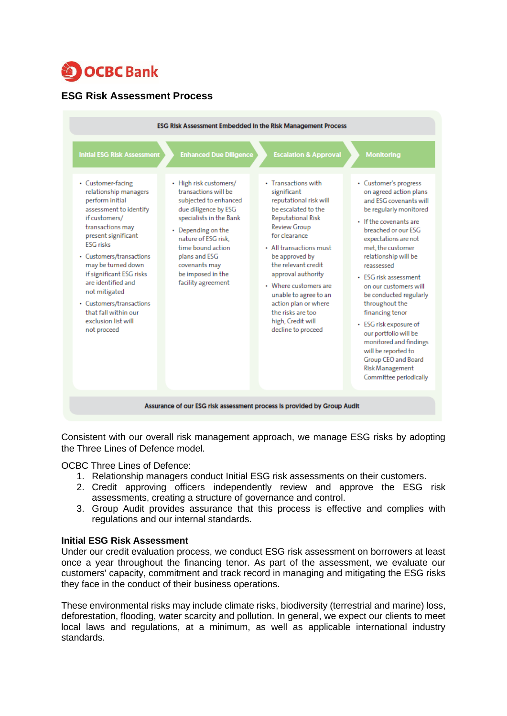

# **ESG Risk Assessment Process**



Consistent with our overall risk management approach, we manage ESG risks by adopting the Three Lines of Defence model.

OCBC Three Lines of Defence:

- 1. Relationship managers conduct Initial ESG risk assessments on their customers.
- 2. Credit approving officers independently review and approve the ESG risk assessments, creating a structure of governance and control.
- 3. Group Audit provides assurance that this process is effective and complies with regulations and our internal standards.

## **Initial ESG Risk Assessment**

Under our credit evaluation process, we conduct ESG risk assessment on borrowers at least once a year throughout the financing tenor. As part of the assessment, we evaluate our customers' capacity, commitment and track record in managing and mitigating the ESG risks they face in the conduct of their business operations.

These environmental risks may include climate risks, biodiversity (terrestrial and marine) loss, deforestation, flooding, water scarcity and pollution. In general, we expect our clients to meet local laws and regulations, at a minimum, as well as applicable international industry standards.